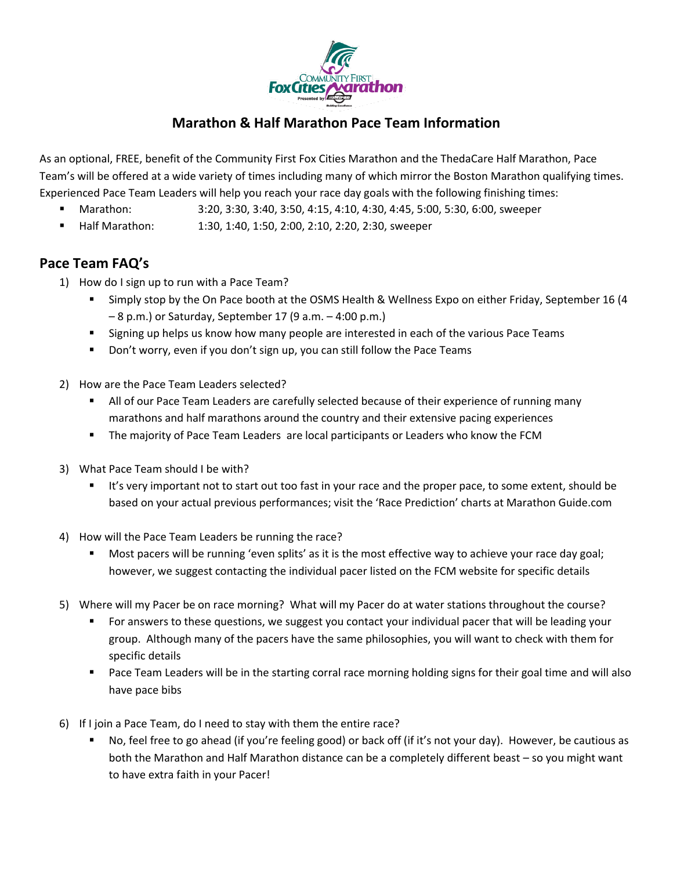

## **Marathon & Half Marathon Pace Team Information**

As an optional, FREE, benefit of the Community First Fox Cities Marathon and the ThedaCare Half Marathon, Pace Team's will be offered at a wide variety of times including many of which mirror the Boston Marathon qualifying times. Experienced Pace Team Leaders will help you reach your race day goals with the following finishing times:

- Marathon: 3:20, 3:30, 3:40, 3:50, 4:15, 4:10, 4:30, 4:45, 5:00, 5:30, 6:00, sweeper
- Half Marathon: 1:30, 1:40, 1:50, 2:00, 2:10, 2:20, 2:30, sweeper

## **Pace Team FAQ's**

- 1) How do I sign up to run with a Pace Team?
	- Simply stop by the On Pace booth at the OSMS Health & Wellness Expo on either Friday, September 16 (4 – 8 p.m.) or Saturday, September 17 (9 a.m. – 4:00 p.m.)
	- Signing up helps us know how many people are interested in each of the various Pace Teams
	- **Don't worry, even if you don't sign up, you can still follow the Pace Teams**
- 2) How are the Pace Team Leaders selected?
	- **All of our Pace Team Leaders are carefully selected because of their experience of running many** marathons and half marathons around the country and their extensive pacing experiences
	- The majority of Pace Team Leaders are local participants or Leaders who know the FCM
- 3) What Pace Team should I be with?
	- It's very important not to start out too fast in your race and the proper pace, to some extent, should be based on your actual previous performances; visit the 'Race Prediction' charts at Marathon Guide.com
- 4) How will the Pace Team Leaders be running the race?
	- Most pacers will be running 'even splits' as it is the most effective way to achieve your race day goal; however, we suggest contacting the individual pacer listed on the FCM website for specific details
- 5) Where will my Pacer be on race morning? What will my Pacer do at water stations throughout the course?
	- **For answers to these questions, we suggest you contact your individual pacer that will be leading your** group. Although many of the pacers have the same philosophies, you will want to check with them for specific details
	- Pace Team Leaders will be in the starting corral race morning holding signs for their goal time and will also have pace bibs
- 6) If I join a Pace Team, do I need to stay with them the entire race?
	- No, feel free to go ahead (if you're feeling good) or back off (if it's not your day). However, be cautious as both the Marathon and Half Marathon distance can be a completely different beast – so you might want to have extra faith in your Pacer!